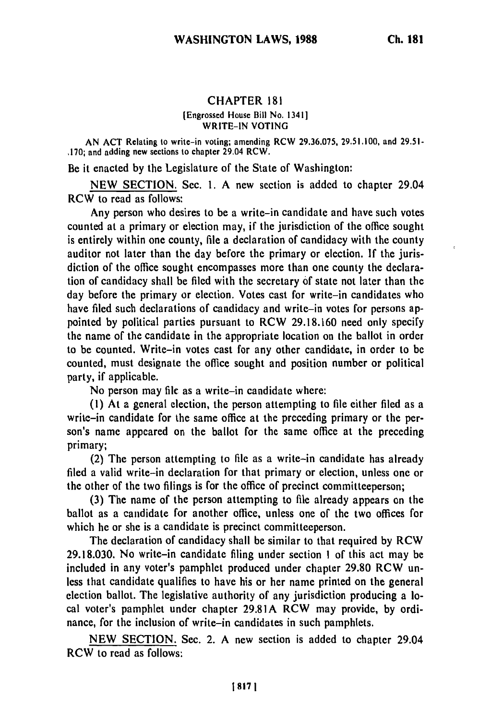## **CHAPTER 181**

## [Engrossed House Bill No. 1341] WRITE-IN VOTING

AN ACT Relating to write-in voting; amending RCW 29.36.075, 29.51.100, and 29.51- .170; and adding new sections to chapter 29.04 RCW.

Be it enacted by the Legislature of the State of Washington:

NEW SECTION. Sec. **1.** A new section is added to chapter 29.04 RCW to read as follows:

Any person who desires to be a write-in candidate and have such votes counted at a primary or election may, if the jurisdiction of the office sought is entirely within one county, file a declaration of candidacy with the county auditor not later than the day before the primary or election. If the jurisdiction of the office sought encompasses more than one county the declaration of candidacy shall be filed with the secretary of state not later than the day before the primary or election. Votes cast for write-in candidates who have filed such declarations of candidacy and write-in votes for persons appointed by political parties pursuant to RCW 29.18.160 need only specify the name of the candidate in the appropriate location on the ballot in order to be counted. Write-in votes cast for any other candidate, in order to be counted, must designate the office sought and position number or political party, if applicable.

No person may file as a write-in candidate where:

**(1)** At a general election, the person attempting to file either filed as a write-in candidate for the same office at the preceding primary or the person's name appeared on the ballot for the same office at the preceding primary;

(2) The person attempting to file as a write-in candidate has already filed a valid write-in declaration for that primary or election, unless one or the other of the two filings is for the office of precinct committeeperson;

(3) The name of the person attempting to file already appears on the ballot as a candidate for another office, unless one of the two offices for which he or she is a candidate is precinct committeeperson.

The declaration of candidacy shall be similar to that required by RCW 29.18.030. No write-in candidate filing under section **I** of this act may be included in any voter's pamphlet produced under chapter 29.80 RCW unless that candidate qualifies to have his or her name printed on the general election ballot. The legislative authority of any jurisdiction producing a local voter's pamphlet under chapter 29.81A RCW may provide, by ordinance, for the inclusion of write-in candidates in such pamphlets.

NEW SECTION. Sec. 2. A new section is added to chapter 29.04 RCW to read as follows: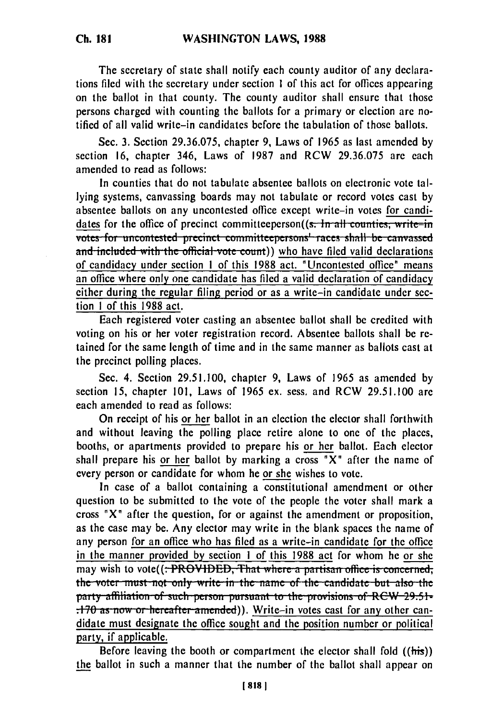**Ch. 181**

The secretary of state shall notify each county auditor of any declarations filed with the secretary under section 1 of this act for offices appearing on the ballot in that county. The county auditor shall ensure that those persons charged with counting the ballots for a primary or election are notified of all valid write-in candidates before the tabulation of those ballots.

Sec. 3. Section 29.36.075, chapter 9, Laws of 1965 as last amended by section 16, chapter 346, Laws of 1987 and RCW 29.36.075 are each amended to read as follows:

In counties that do not tabulate absentee ballots on electronic vote tallying systems, canvassing boards may not tabulate or record votes cast by absentee ballots on any uncontested office except write-in votes for candidates for the office of precinct committeeperson((s. In all counties, write-in votes for uncontested precinct committeepersons<sup>1</sup> races shall be canvassed and included with the official vote count)) who have filed valid declarations of candidacy under section I of this 1988 act. "Uncontested office" means an office where only one candidate has filed a valid declaration of candidacy either during the regular filing period or as a write-in candidate under section I of this 1988 act.

Each registered voter casting an absentee ballot shall be credited with voting on his or her voter registration record. Absentee ballots shall be retained for the same length of time and in the same manner as ballots cast at the precinct polling places.

Sec. 4. Section 29.51.100, chapter 9, Laws of 1965 as amended by section 15, chapter 101, Laws of 1965 ex. sess. and RCW 29.51.100 are each amended to read as follows:

On receipt of his or her ballot in an election the elector shall forthwith and without leaving the polling place retire alone to one of the places, booths, or apartments provided to prepare his or her ballot. Each elector shall prepare his or her ballot by marking a cross " $X$ " after the name of every person or candidate for whom he or she wishes to vote.

In case of a ballot containing a constitutional amendment or other question to be submitted to the vote of the people the voter shall mark a cross " $X$ " after the question, for or against the amendment or proposition, as the case may be. Any elector may write in the blank spaces the name of any person for an office who has filed as a write-in candidate for the office in the manner provided **by** section **I** of this 1988 act for whom he or she may wish to vote((: PROVIDED, That where a partisan office is concerned, **the voter must not only write in the name of the candidate but also the. party affiliation of such person pursuant to the provisions of RCW 29.51-.170 as now or hereafter amended)). Write-in votes cast for any other can**didate must designate the office sought and the position number or political party, if applicable.

Before leaving the booth or compartment the elector shall fold ((his)) the ballot in such a manner that the number of the ballot shall appear on